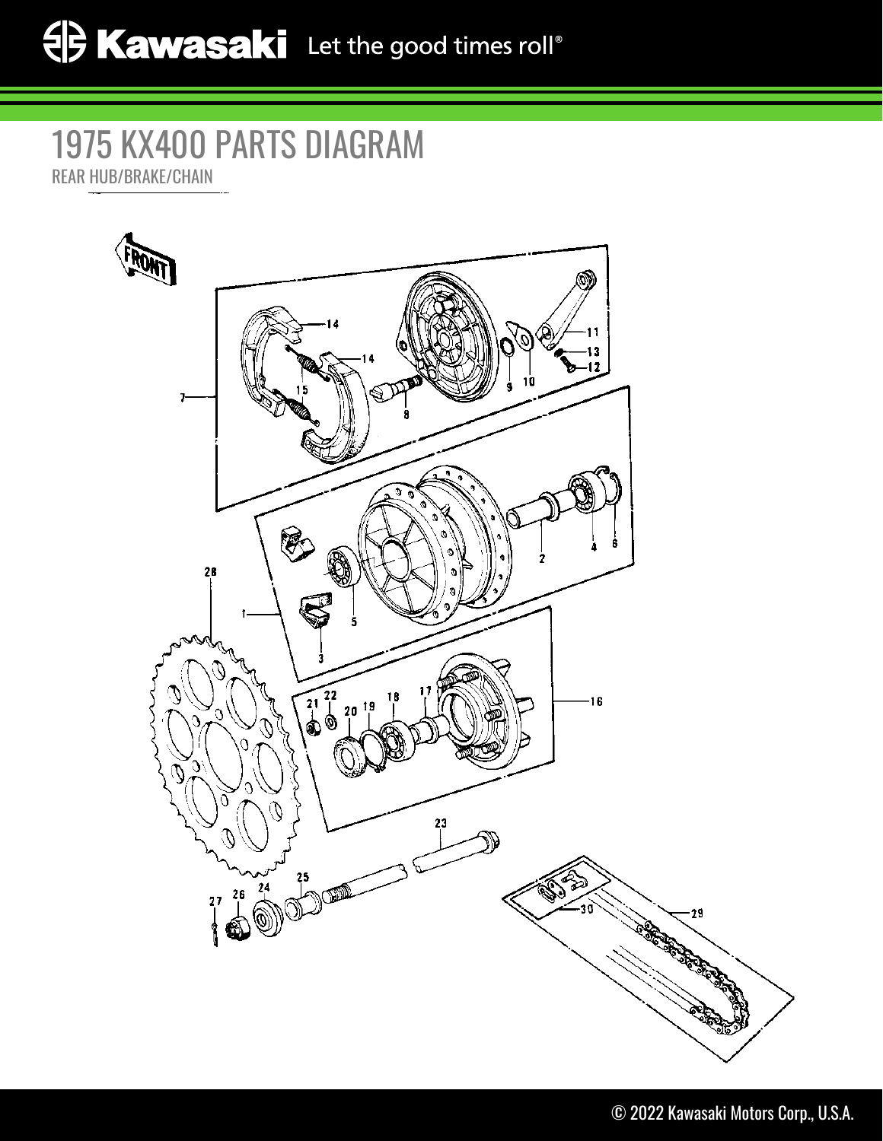## 1975 KX400 PARTS DIAGRAM REAR HUB/BRAKE/CHAIN

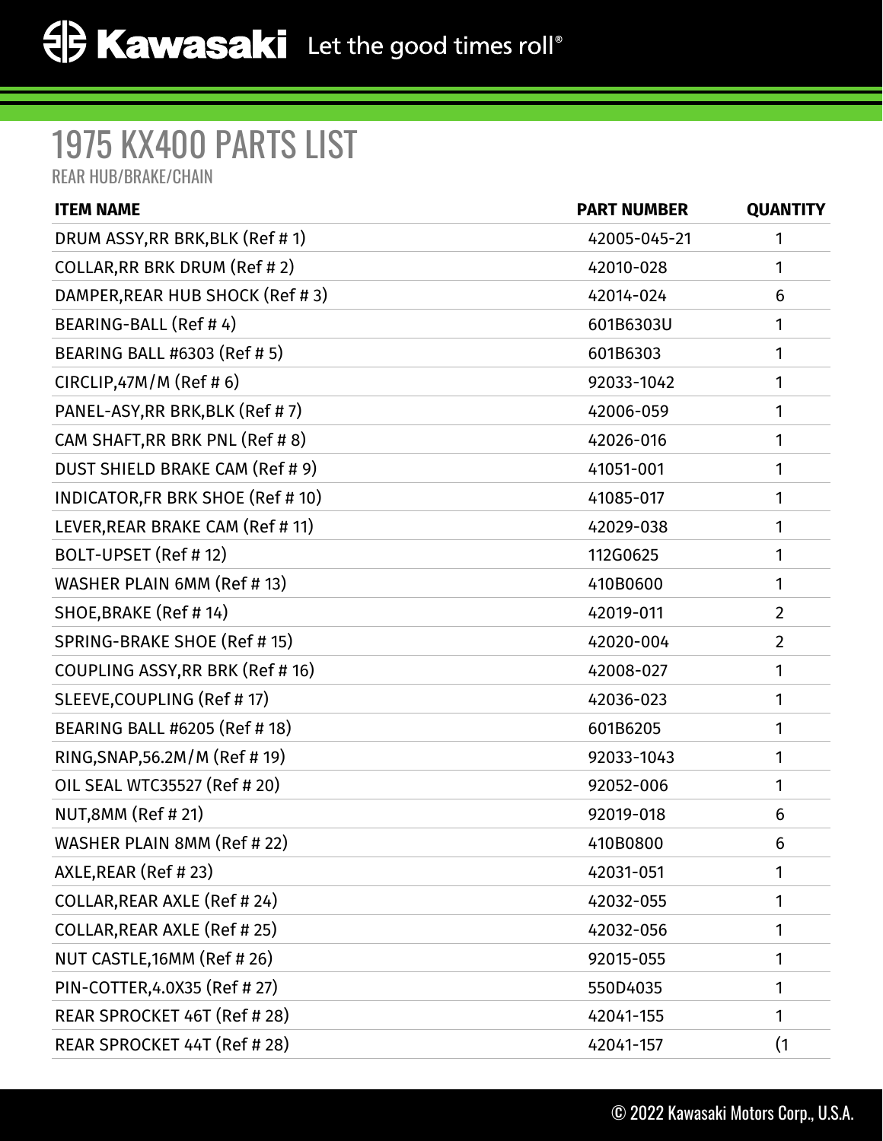## 1975 KX400 PARTS LIST

REAR HUB/BRAKE/CHAIN

| <b>ITEM NAME</b>                   | <b>PART NUMBER</b> | <b>QUANTITY</b> |
|------------------------------------|--------------------|-----------------|
| DRUM ASSY, RR BRK, BLK (Ref # 1)   | 42005-045-21       | 1               |
| COLLAR, RR BRK DRUM (Ref #2)       | 42010-028          | 1               |
| DAMPER, REAR HUB SHOCK (Ref #3)    | 42014-024          | 6               |
| BEARING-BALL (Ref #4)              | 601B6303U          | 1               |
| BEARING BALL #6303 (Ref # 5)       | 601B6303           | 1               |
| CIRCLIP,47M/M (Ref # 6)            | 92033-1042         | 1               |
| PANEL-ASY, RR BRK, BLK (Ref #7)    | 42006-059          | 1               |
| CAM SHAFT, RR BRK PNL (Ref #8)     | 42026-016          | 1               |
| DUST SHIELD BRAKE CAM (Ref # 9)    | 41051-001          | 1               |
| INDICATOR, FR BRK SHOE (Ref # 10)  | 41085-017          | 1               |
| LEVER, REAR BRAKE CAM (Ref # 11)   | 42029-038          | 1               |
| BOLT-UPSET (Ref # 12)              | 112G0625           | 1               |
| WASHER PLAIN 6MM (Ref #13)         | 410B0600           | 1               |
| SHOE, BRAKE (Ref #14)              | 42019-011          | $\overline{2}$  |
| SPRING-BRAKE SHOE (Ref # 15)       | 42020-004          | $\overline{2}$  |
| COUPLING ASSY, RR BRK (Ref # 16)   | 42008-027          | 1               |
| SLEEVE, COUPLING (Ref # 17)        | 42036-023          | 1               |
| BEARING BALL #6205 (Ref # 18)      | 601B6205           | 1               |
| RING, SNAP, 56.2M/M (Ref #19)      | 92033-1043         | 1               |
| OIL SEAL WTC35527 (Ref # 20)       | 92052-006          | 1               |
| NUT,8MM (Ref # 21)                 | 92019-018          | 6               |
| WASHER PLAIN 8MM (Ref # 22)        | 410B0800           | 6               |
| AXLE, REAR (Ref #23)               | 42031-051          | 1               |
| COLLAR, REAR AXLE (Ref # 24)       | 42032-055          | 1               |
| <b>COLLAR, REAR AXLE (Ref #25)</b> | 42032-056          | 1               |
| NUT CASTLE, 16MM (Ref #26)         | 92015-055          | 1               |
| PIN-COTTER, 4.0X35 (Ref # 27)      | 550D4035           | 1               |
| REAR SPROCKET 46T (Ref # 28)       | 42041-155          | 1               |
| REAR SPROCKET 44T (Ref # 28)       | 42041-157          | (1)             |